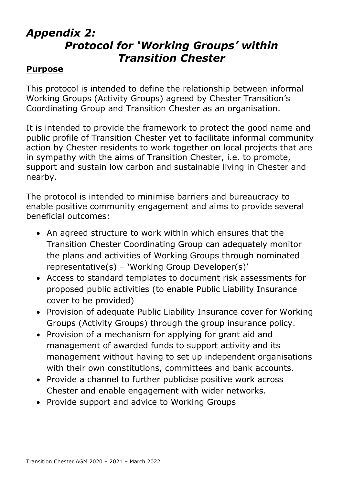## Appendix 2: Protocol for 'Working Groups' within Transition Chester

#### **Purpose**

This protocol is intended to define the relationship between informal Working Groups (Activity Groups) agreed by Chester Transition's Coordinating Group and Transition Chester as an organisation.

It is intended to provide the framework to protect the good name and public profile of Transition Chester yet to facilitate informal community action by Chester residents to work together on local projects that are in sympathy with the aims of Transition Chester, i.e. to promote, support and sustain low carbon and sustainable living in Chester and nearby.

The protocol is intended to minimise barriers and bureaucracy to enable positive community engagement and aims to provide several beneficial outcomes:

- An agreed structure to work within which ensures that the Transition Chester Coordinating Group can adequately monitor the plans and activities of Working Groups through nominated representative(s) – 'Working Group Developer(s)'
- Access to standard templates to document risk assessments for proposed public activities (to enable Public Liability Insurance cover to be provided)
- Provision of adequate Public Liability Insurance cover for Working Groups (Activity Groups) through the group insurance policy.
- Provision of a mechanism for applying for grant aid and management of awarded funds to support activity and its management without having to set up independent organisations with their own constitutions, committees and bank accounts.
- Provide a channel to further publicise positive work across Chester and enable engagement with wider networks.
- Provide support and advice to Working Groups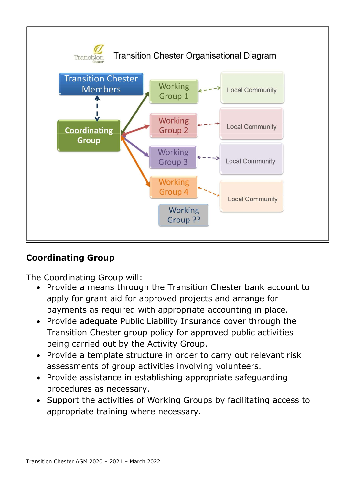

### Coordinating Group

The Coordinating Group will:

- Provide a means through the Transition Chester bank account to apply for grant aid for approved projects and arrange for payments as required with appropriate accounting in place.
- Provide adequate Public Liability Insurance cover through the Transition Chester group policy for approved public activities being carried out by the Activity Group.
- Provide a template structure in order to carry out relevant risk assessments of group activities involving volunteers.
- Provide assistance in establishing appropriate safeguarding procedures as necessary.
- Support the activities of Working Groups by facilitating access to appropriate training where necessary.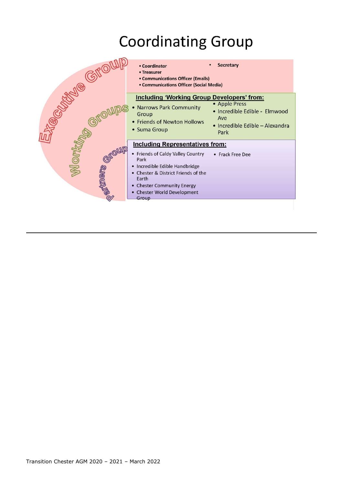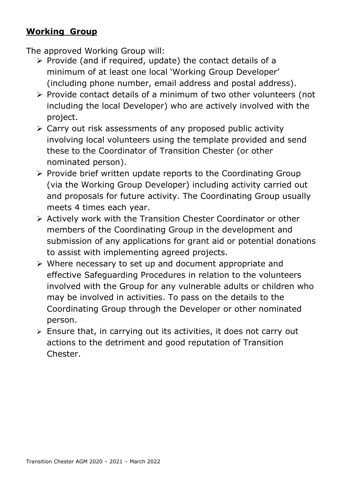## Working Group

The approved Working Group will:

- $\triangleright$  Provide (and if required, update) the contact details of a minimum of at least one local 'Working Group Developer' (including phone number, email address and postal address).
- $\triangleright$  Provide contact details of a minimum of two other volunteers (not including the local Developer) who are actively involved with the project.
- $\triangleright$  Carry out risk assessments of any proposed public activity involving local volunteers using the template provided and send these to the Coordinator of Transition Chester (or other nominated person).
- $\triangleright$  Provide brief written update reports to the Coordinating Group (via the Working Group Developer) including activity carried out and proposals for future activity. The Coordinating Group usually meets 4 times each year.
- Actively work with the Transition Chester Coordinator or other members of the Coordinating Group in the development and submission of any applications for grant aid or potential donations to assist with implementing agreed projects.
- $\triangleright$  Where necessary to set up and document appropriate and effective Safeguarding Procedures in relation to the volunteers involved with the Group for any vulnerable adults or children who may be involved in activities. To pass on the details to the Coordinating Group through the Developer or other nominated person.
- $\ge$  Ensure that, in carrying out its activities, it does not carry out actions to the detriment and good reputation of Transition Chester.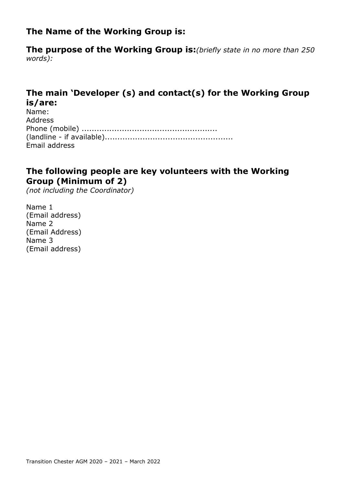### The Name of the Working Group is:

The purpose of the Working Group is: (briefly state in no more than 250 words):

### The main 'Developer (s) and contact(s) for the Working Group is/are:

| Name:          |
|----------------|
| <b>Address</b> |
|                |
|                |
| Email address  |

#### The following people are key volunteers with the Working Group (Minimum of 2)

(not including the Coordinator)

Name 1 (Email address) Name 2 (Email Address) Name 3 (Email address)